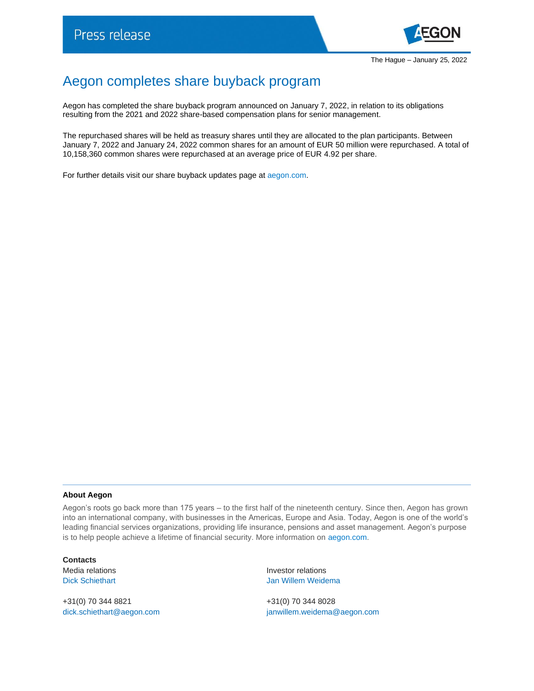

## Aegon completes share buyback program

Aegon has completed the share buyback program announced on January 7, 2022, in relation to its obligations resulting from the 2021 and 2022 share-based compensation plans for senior management.

The repurchased shares will be held as treasury shares until they are allocated to the plan participants. Between January 7, 2022 and January 24, 2022 common shares for an amount of EUR 50 million were repurchased. A total of 10,158,360 common shares were repurchased at an average price of EUR 4.92 per share.

For further details visit our share buyback updates page at [aegon.com.](https://www.aegon.com/investors/shareholders/share-buyback-program/)

## **About Aegon**

Aegon's roots go back more than 175 years – to the first half of the nineteenth century. Since then, Aegon has grown into an international company, with businesses in the Americas, Europe and Asia. Today, Aegon is one of the world's leading financial services organizations, providing life insurance, pensions and asset management. Aegon's purpose is to help people achieve a lifetime of financial security. More information on [aegon.com.](https://www.aegon.com/about/)

**Contacts** Media relations and the interval of the latest media relations investor relations

+31(0) 70 344 8821 +31(0) 70 344 8028

Dick Schiethart **Disk Schiethart** Jan Willem Weidema

[dick.schiethart@aegon.com](mailto:dick.schiethart@aegon.com) [janwillem.weidema@aegon.com](mailto:janwillem.weidema@aegon.com)